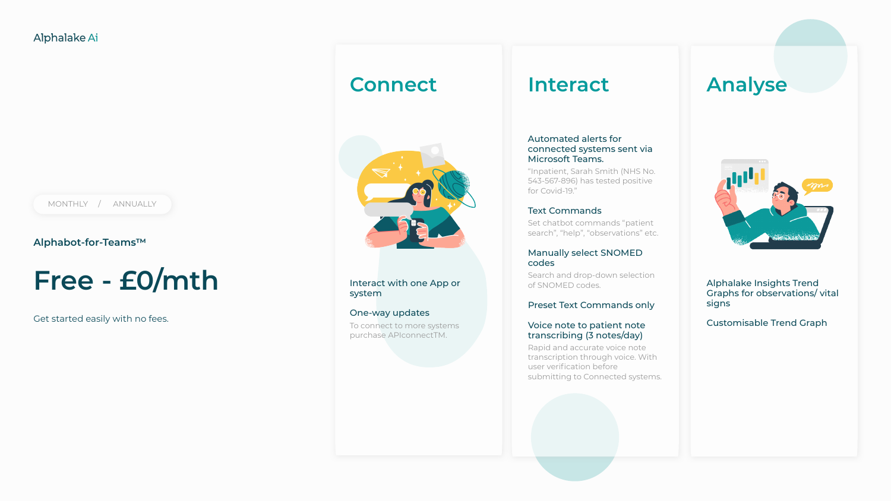**Alphabot-for-Teams™**

## **Free - £0/mth**

Get started easily with no fees.

## **Connect**



Interact with one App or system

#### One-way updates

To connect to more systems purchase APIconnectTM.

### **Interact**

#### Automated alerts for connected systems sent via Microsoft Teams.

"Inpatient, Sarah Smith (NHS No. 543-567-896) has tested positive for Covid-19."

#### Text Commands

Set chatbot commands "patient search", "help", "observations" etc.

#### Manually select SNOMED codes

Search and drop-down selection of SNOMED codes.

#### Preset Text Commands only

#### Voice note to patient note transcribing (3 notes/day)

Rapid and accurate voice note transcription through voice. With user verification before submitting to Connected systems.



## **Analyse**

Alphalake Insights Trend Graphs for observations/ vital signs

#### Customisable Trend Graph

MONTHLY / ANNUALLY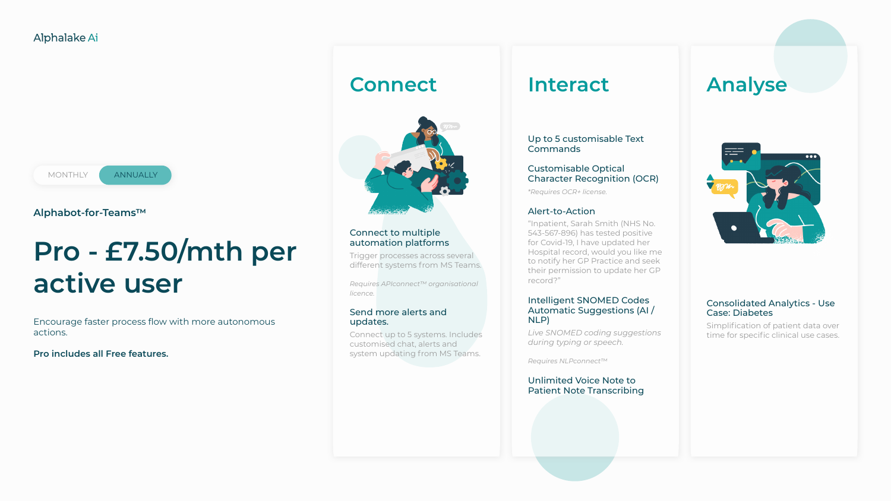**Alphabot-for-Teams™**

## **Pro - £7.50/mth per active user**

Encourage faster process flow with more autonomous actions.

**Pro includes all Free features.**



## **Connect**



#### Connect to multiple automation platforms

Trigger processes across several different systems from MS Teams.

*Requires APIconnect™ organisational licence.*

#### Send more alerts and updates.

Connect up to 5 systems. Includes customised chat, alerts and system updating from MS Teams.

### **Interact**

#### Up to 5 customisable Text Commands

#### Customisable Optical Character Recognition (OCR)

*\*Requires OCR+ license.*

#### Alert-to-Action

"Inpatient, Sarah Smith (NHS No. 543-567-896) has tested positive for Covid-19, I have updated her Hospital record, would you like me to notify her GP Practice and seek their permission to update her GP record?"

#### Intelligent SNOMED Codes Automatic Suggestions (AI / NLP)

*Live SNOMED coding suggestions during typing or speech.*

*Requires NLPconnect™*

#### Unlimited Voice Note to Patient Note Transcribing



## **Analyse**

#### Consolidated Analytics - Use Case: Diabetes

Simplification of patient data over time for specific clinical use cases.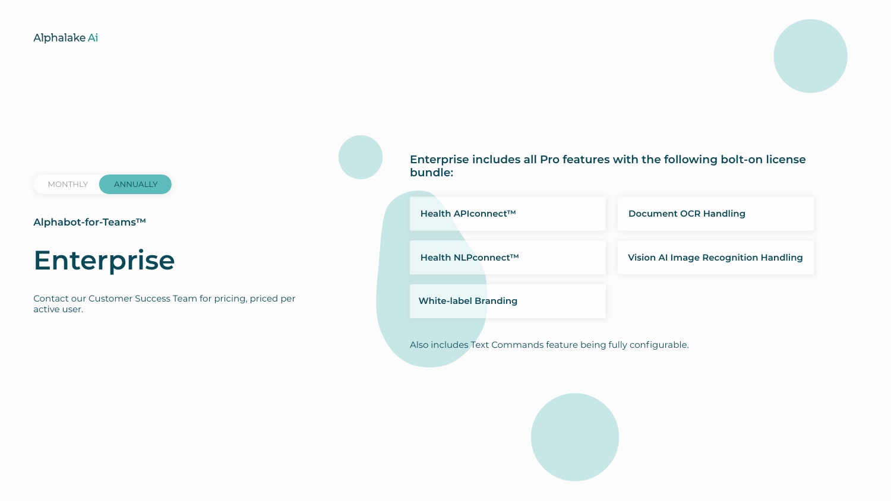MONTHLY **ANNUALLY** 

#### **Alphabot-for-Teams™**

## **Enterprise**

Contact our Customer Success Team for pricing, priced per active user.

Also includes Text Commands feature being fully configurable.